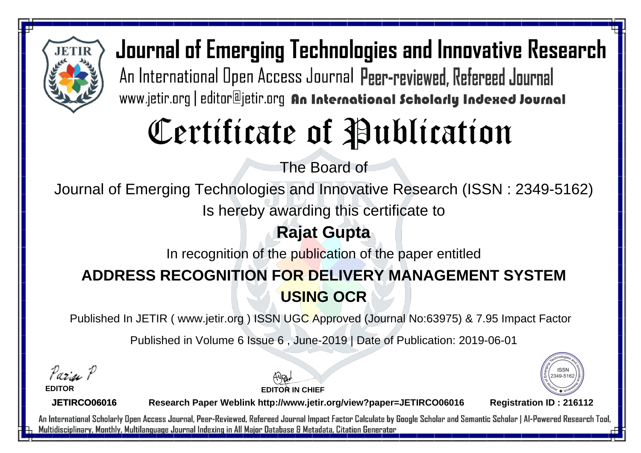

# Certificate of Publication

The Board of

Journal of Emerging Technologies and Innovative Research (ISSN : 2349-5162)

Is hereby awarding this certificate to

#### **Rajat Gupta**

In recognition of the publication of the paper entitled

### **ADDRESS RECOGNITION FOR DELIVERY MANAGEMENT SYSTEM USING OCR**

Published In JETIR ( www.jetir.org ) ISSN UGC Approved (Journal No: 63975) & 7.95 Impact Factor

Published in Volume 6 Issue 6 , June-2019 | Date of Publication: 2019-06-01

Parin P

**EDITOR**

**EDITOR IN CHIEF**



**JETIRCO06016**

**Research Paper Weblink http://www.jetir.org/view?paper=JETIRCO06016 Registration ID : 216112**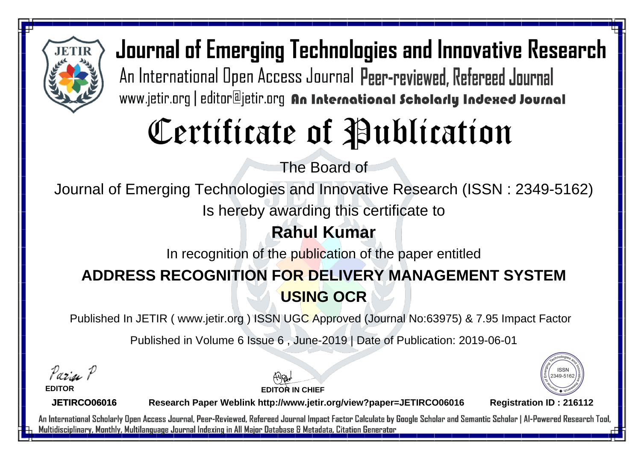

# Certificate of Publication

The Board of

Journal of Emerging Technologies and Innovative Research (ISSN : 2349-5162)

Is hereby awarding this certificate to

#### **Rahul Kumar**

In recognition of the publication of the paper entitled

### **ADDRESS RECOGNITION FOR DELIVERY MANAGEMENT SYSTEM USING OCR**

Published In JETIR ( www.jetir.org ) ISSN UGC Approved (Journal No: 63975) & 7.95 Impact Factor

Published in Volume 6 Issue 6 , June-2019 | Date of Publication: 2019-06-01

Paris P

**EDITOR**

**EDITOR IN CHIEF**



**JETIRCO06016**

**Research Paper Weblink http://www.jetir.org/view?paper=JETIRCO06016 Registration ID : 216112**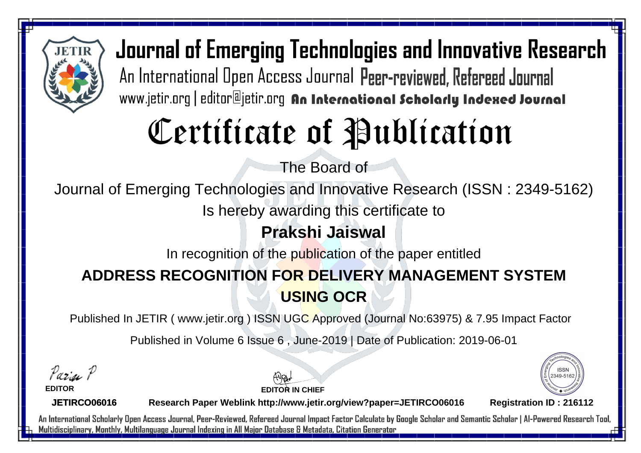

# Certificate of Publication

The Board of

Journal of Emerging Technologies and Innovative Research (ISSN : 2349-5162)

Is hereby awarding this certificate to

#### **Prakshi Jaiswal**

In recognition of the publication of the paper entitled

### **ADDRESS RECOGNITION FOR DELIVERY MANAGEMENT SYSTEM USING OCR**

Published In JETIR ( www.jetir.org ) ISSN UGC Approved (Journal No: 63975) & 7.95 Impact Factor

Published in Volume 6 Issue 6 , June-2019 | Date of Publication: 2019-06-01

Paris P

**EDITOR**

**EDITOR IN CHIEF**



**JETIRCO06016**

**Research Paper Weblink http://www.jetir.org/view?paper=JETIRCO06016 Registration ID : 216112**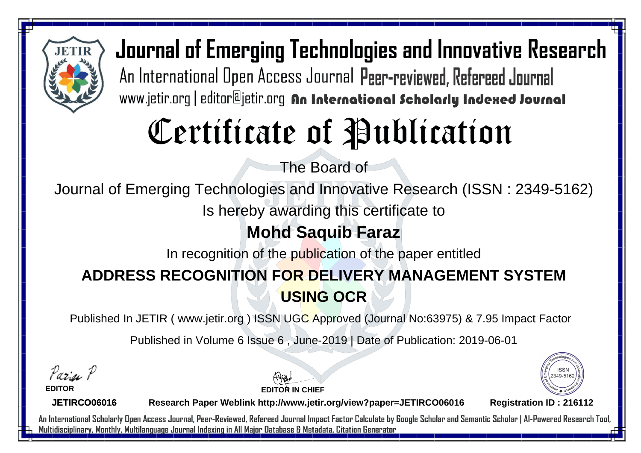

# Certificate of Publication

The Board of

Journal of Emerging Technologies and Innovative Research (ISSN : 2349-5162)

Is hereby awarding this certificate to

#### **Mohd Saquib Faraz**

In recognition of the publication of the paper entitled

### **ADDRESS RECOGNITION FOR DELIVERY MANAGEMENT SYSTEM USING OCR**

Published In JETIR ( www.jetir.org ) ISSN UGC Approved (Journal No: 63975) & 7.95 Impact Factor

Published in Volume 6 Issue 6 , June-2019 | Date of Publication: 2019-06-01

Paris P

**EDITOR**

**EDITOR IN CHIEF**



**JETIRCO06016**

**Research Paper Weblink http://www.jetir.org/view?paper=JETIRCO06016 Registration ID : 216112**